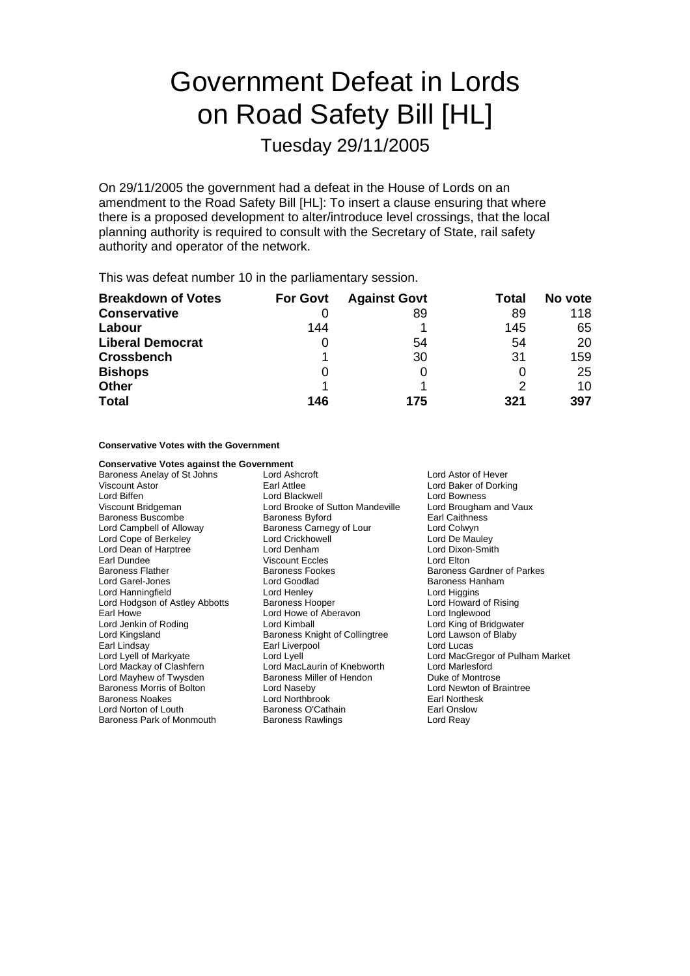# Government Defeat in Lords on Road Safety Bill [HL]

Tuesday 29/11/2005

On 29/11/2005 the government had a defeat in the House of Lords on an amendment to the Road Safety Bill [HL]: To insert a clause ensuring that where there is a proposed development to alter/introduce level crossings, that the local planning authority is required to consult with the Secretary of State, rail safety authority and operator of the network.

This was defeat number 10 in the parliamentary session.

| <b>Breakdown of Votes</b> | <b>For Govt</b> | <b>Against Govt</b> | Total | No vote |
|---------------------------|-----------------|---------------------|-------|---------|
| <b>Conservative</b>       |                 | 89                  | 89    | 118     |
| Labour                    | 144             |                     | 145   | 65      |
| <b>Liberal Democrat</b>   | O               | 54                  | 54    | 20      |
| <b>Crossbench</b>         |                 | 30                  | 31    | 159     |
| <b>Bishops</b>            | O               |                     |       | 25      |
| <b>Other</b>              |                 |                     |       | 10      |
| <b>Total</b>              | 146             | 175                 | 321   | 397     |

**Conservative Votes with the Government**

| <b>Conservative Votes against the Government</b> |                                  |                          |
|--------------------------------------------------|----------------------------------|--------------------------|
| Baroness Anelay of St Johns                      | Lord Ashcroft                    | Lord Astor of Hever      |
| <b>Viscount Astor</b>                            | Earl Attlee                      | Lord Baker of Dorking    |
| Lord Biffen                                      | Lord Blackwell                   | Lord Bowness             |
| Viscount Bridgeman                               | Lord Brooke of Sutton Mandeville | Lord Brougham and Vaux   |
| <b>Baroness Buscombe</b>                         | <b>Baroness Byford</b>           | <b>Earl Caithness</b>    |
| Lord Campbell of Alloway                         | Baroness Carnegy of Lour         | Lord Colwyn              |
| Lord Cope of Berkeley                            | Lord Crickhowell                 | Lord De Mauley           |
| Lord Dean of Harptree                            | Lord Denham                      | Lord Dixon-Smith         |
| Earl Dundee                                      | Viscount Eccles                  | Lord Elton               |
| <b>Baroness Flather</b>                          | <b>Baroness Fookes</b>           | Baroness Gardner of Parl |
| Lord Garel-Jones                                 | Lord Goodlad                     | Baroness Hanham          |
| Lord Hanningfield                                | Lord Henley                      | Lord Higgins             |
| Lord Hodgson of Astley Abbotts                   | Baroness Hooper                  | Lord Howard of Rising    |
| Earl Howe                                        | Lord Howe of Aberavon            | Lord Inglewood           |
| Lord Jenkin of Roding                            | Lord Kimball                     | Lord King of Bridgwater  |
| Lord Kingsland                                   | Baroness Knight of Collingtree   | Lord Lawson of Blaby     |
| Earl Lindsay                                     | Earl Liverpool                   | Lord Lucas               |
| Lord Lyell of Markyate                           | Lord Lyell                       | Lord MacGregor of Pulha  |
| Lord Mackay of Clashfern                         | Lord MacLaurin of Knebworth      | Lord Marlesford          |
| Lord Mayhew of Twysden                           | Baroness Miller of Hendon        | Duke of Montrose         |
| Baroness Morris of Bolton                        | Lord Naseby                      | Lord Newton of Braintree |
| <b>Baroness Noakes</b>                           | Lord Northbrook                  | Earl Northesk            |
| Lord Norton of Louth                             | Baroness O'Cathain               | Earl Onslow              |
| Baroness Park of Monmouth                        | Baroness Rawlings                | Lord Reay                |

aker of Dorking ougham and Vaux<br>iithness xon-Smith ss Gardner of Parkes ss Hanham <del>co</del><br>oward of Rising ng of Bridgwater س<br>wson of Blaby acGregor of Pulham Market<br>arlesford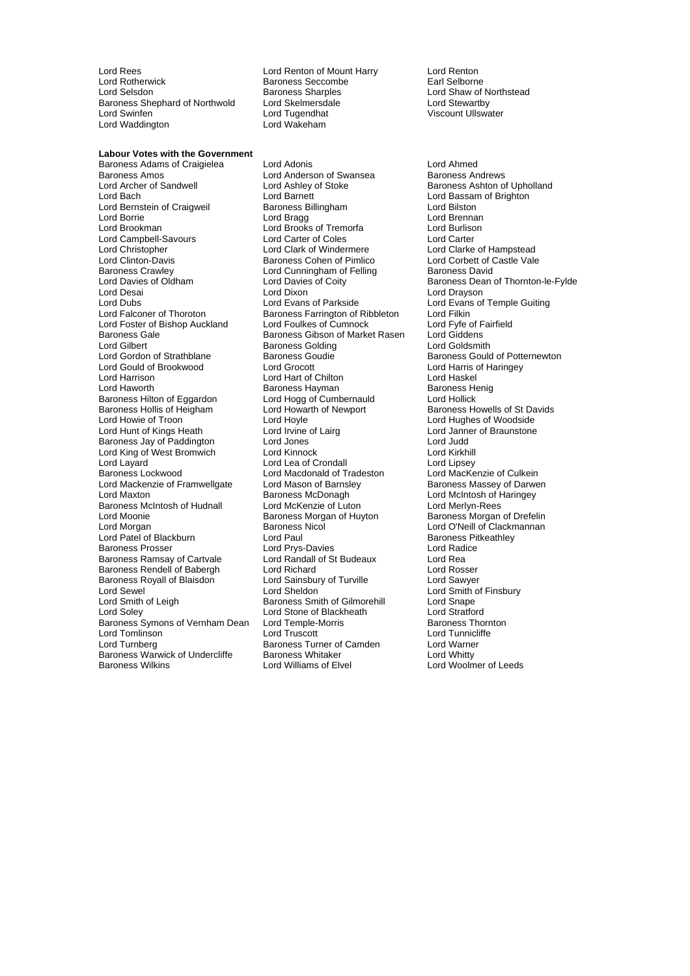Lord Rees Lord Renton of Mount Harry Lord Renton<br>
Lord Rotherwick Corp Baroness Seccombe Carl Selborne Lord Rotherwick **Baroness Seccombe**<br>
Lord Selsdon<br>
Baroness Sharples Baroness Shephard of Northwold Lord Skelmersdale Lord Stelmers<br>Lord Swinfen Lord Tugendhat Lord Waddington

Baroness Sharples<br>
Lord Skelmersdale<br>
Lord Stewartby Lord Tugendhat **National State Lord Tugendhat** Viscount Ullswater<br>Lord Wakeham

**Labour Votes with the Government** Baroness Adams of Craigielea Lord Adonis Lord Ahmed Baroness Amos<br>
Lord Archer of Sandwell **Lord Andrews Lord Ashley of Stoke**<br>
Lord Ashley of Stoke Lord Archer of Sandwell **Lord Ashley of Stoke** Baroness Ashton of Upholland<br>
Lord Baroness Ashton of Upholland<br>
Lord Bassam of Brighton Lord Bernstein of Craigweil **Baroness Billingham** Lord Bilston<br>
Lord Borrie **Baroness Billingham** Lord Brenna Lord Borrie **Lord Bragg Lord Bragg Lord Brennan**<br>
Lord Brookman **Lord Brooks** of Tremorfa Lord Burlison Lord Campbell-Savours<br>
Lord Christopher Lord Clark of Windermere Lord Christopher Lord Clark of Windermere Lord Clarke of Hampstead Lord Clinton-Davis **Baroness Cohen of Pimlico** Lord Corbett of C<br>Baroness Crawley **Baroness Lord Cunningham of Felling** Baroness David Baroness Crawley **Lord Cunningham of Felling**<br>
Lord Davies of Oldham **Baroness Lord Davies of Coity** Lord Desai Lord Dixon Lord Drayson Lord Dubs<br>
Lord Exans of Temple Guiting<br>
Lord Ealconer of Thoroton<br>
Baroness Farrington of Ribbleton Lord Filkin Lord Foster of Bishop Auckland Lord Foulkes of Cumnock Lord Fyfe of F<br>Baroness Gale Baroness Gibson of Market Rasen Lord Giddens Baroness Gale <sup>I</sup> Baroness Gibson of Market Rasen Lord Giddens<br>Lord Gilbert Lord Goldsmith Baroness Golding Lord Goldsmith Lord Gilbert **Baroness Golding**<br>
Lord Gordon of Strathblane **Baroness Goudie** Lord Gould of Brookwood Lord Grocott Lord Harris of Haringey Lord Harrison<br>
Lord Hawarth **Lord Hawarth Lord Hawarth**<br>
Baroness Hayman Baroness Hilton of Eggardon Baroness Hollis of Heigham Lord Howarth of Newport Baroness Howells of St Davids<br>
Lord Hoyle Cord Hoyle Lord Holle Lord Hughes of Woodside Lord Hunt of Kings Heath Baroness Jay of Paddington Lord Jones Lord Judd Lord King of West Bromwich Lord Kinnock Lord Kirkhill Lord Layard Lord Lord Lea of Crondall and Lord Lord Lipsey<br>
Lord Machael Lord Macdonald of Tradeston Lord MacKenzie of Culkein Lord Mackenzie of Framwellgate Lord Mason of Barnsley Baroness Massey of Darwen<br>
Lord Maxton Baroness McDonagh Baroness McDonagh Lord McIntosh of Haringey Baroness McIntosh of Hudnall Lord McKenzie of Luton<br>Lord Moonie Cord Merlyn-Baroness Morgan of Huyton Lord Moonie **Baroness Morgan of Huyton** Baroness Morgan of Drefelin<br>Lord Morgan **Baroness Nicol** Baroness Nicol Lord O'Neill of Clackmannan Lord Patel of Blackburn **Lord Paul Baroness Profile Baroness Pitcher**<br>Baroness Prosser **Baroness Profile Baroness Pitcher** Lord Radice Baroness Ramsay of Cartvale Lord Randall of St Budeaux Lord Rea<br>
Baroness Rendell of Babergh Lord Richard Lord Rosser Baroness Rendell of Babergh Lord Richard Lord Rosser Baroness Royall of Blaisdon Lord Sainsbury Lord Sainsbury Lord Sheldon Lord Sewel Lord Sheldon<br>
Lord Smith of Leigh Lord Sheldon<br>
Lord Smith of Gilmorehill Lord Shape<br>
Lord Shelton Baroness Smith of Gilmorehill Lord Shape Lord Soley<br>
Lord Stone of Blackheath **Lord Stratford**<br>
Baroness Symons of Vernham Dean Lord Temple-Morris **Constant Construct Baroness** Thornton Baroness Symons of Vernham Dean Lord Tomlinson Lord Truscott Lord Tunnicliffe Baroness Warwick of Undercliffe Baroness Whitaker<br>Baroness Wilkins Lord Williams of Elvel

Lord Brooks of Tremorfa Lord Burlison<br>Lord Carter of Coles Lord Carter **Baroness Farrington of Ribbleton** Lord Filkin<br>
Lord Foulkes of Cumnock Lord Fyfe of Fairfield Baroness Hayman Baroness Henig<br>
Lord Hogg of Cumbernauld
Lord Hollick Lord Hoyle<br>
Lord Irvine of Lairg<br>
Lord Janner of Braunstone Lord Macdonald of Tradeston Baroness McDonagh **Lord McIntosh of Haringey**<br>
Lord McKenzie of Luton<br>
Lord Merlyn-Rees Baroness Nicol **Exercise Server Corporation** Lord O'Neill of Clackmannan<br>
Lord Paul<br>
Baroness Pitkeathlev Lord Prys-Davies Baroness Smith of Gilmorehill Lord Snape<br>
Lord Stone of Blackheath Lord Stratford **Baroness Turner of Camden Lord Warner Camel Corp.**<br> **Baroness Whitaker Lord Whitty** 

Lord Bassam of Brighton Baroness Dean of Thornton-le-Fylde Baroness Gould of Potternewton Lord Woolmer of Leeds